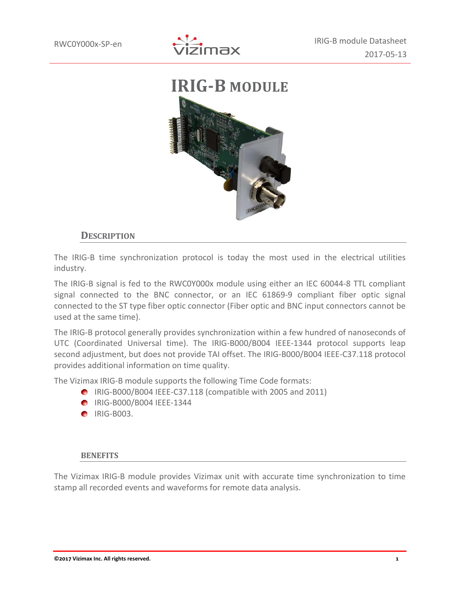



## **DESCRIPTION**

The IRIG-B time synchronization protocol is today the most used in the electrical utilities industry.

The IRIG-B signal is fed to the RWC0Y000x module using either an IEC 60044-8 TTL compliant signal connected to the BNC connector, or an IEC 61869-9 compliant fiber optic signal connected to the ST type fiber optic connector (Fiber optic and BNC input connectors cannot be used at the same time).

The IRIG-B protocol generally provides synchronization within a few hundred of nanoseconds of UTC (Coordinated Universal time). The IRIG-B000/B004 IEEE-1344 protocol supports leap second adjustment, but does not provide TAI offset. The IRIG-B000/B004 IEEE-C37.118 protocol provides additional information on time quality.

The Vizimax IRIG-B module supports the following Time Code formats:

- IRIG-B000/B004 IEEE-C37.118 (compatible with 2005 and 2011)
- **IRIG-B000/B004 IEEE-1344**
- **C** IRIG-B003.

#### **BENEFITS**

The Vizimax IRIG-B module provides Vizimax unit with accurate time synchronization to time stamp all recorded events and waveforms for remote data analysis.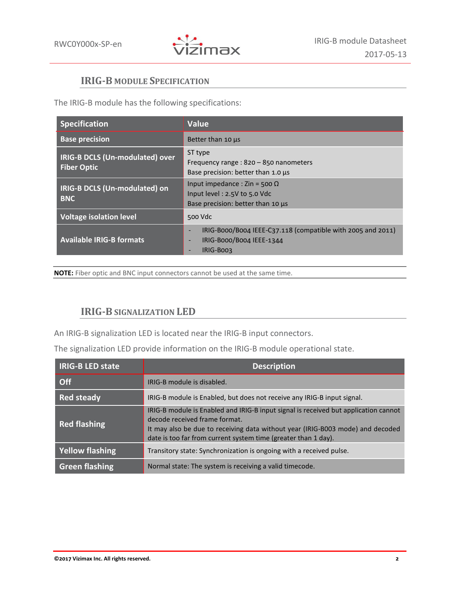

# **IRIG-B MODULE SPECIFICATION**

The IRIG-B module has the following specifications:

| <b>Specification</b>                                  | <b>Value</b>                                                                                                                     |
|-------------------------------------------------------|----------------------------------------------------------------------------------------------------------------------------------|
| <b>Base precision</b>                                 | Better than 10 µs                                                                                                                |
| IRIG-B DCLS (Un-modulated) over<br><b>Fiber Optic</b> | ST type<br>Frequency range: 820 - 850 nanometers<br>Base precision: better than $1.0 \,\mu s$                                    |
| IRIG-B DCLS (Un-modulated) on<br><b>BNC</b>           | Input impedance : $\text{Zin} = 500 \Omega$<br>Input level: 2.5V to 5.0 Vdc<br>Base precision: better than 10 µs                 |
| <b>Voltage isolation level</b>                        | 500 Vdc                                                                                                                          |
| <b>Available IRIG-B formats</b>                       | IRIG-B000/B004 IEEE-C37.118 (compatible with 2005 and 2011)<br>$\qquad \qquad -$<br>IRIG-B000/B004 IEEE-1344<br><b>IRIG-BOO3</b> |

**NOTE:** Fiber optic and BNC input connectors cannot be used at the same time.

# **IRIG-B SIGNALIZATION LED**

An IRIG-B signalization LED is located near the IRIG-B input connectors.

The signalization LED provide information on the IRIG-B module operational state.

| <b>IRIG-B LED state</b> | <b>Description</b>                                                                                                                                                                                                                                                       |
|-------------------------|--------------------------------------------------------------------------------------------------------------------------------------------------------------------------------------------------------------------------------------------------------------------------|
| <b>Off</b>              | IRIG-B module is disabled.                                                                                                                                                                                                                                               |
| <b>Red steady</b>       | IRIG-B module is Enabled, but does not receive any IRIG-B input signal.                                                                                                                                                                                                  |
| <b>Red flashing</b>     | IRIG-B module is Enabled and IRIG-B input signal is received but application cannot<br>decode received frame format.<br>It may also be due to receiving data without year (IRIG-B003 mode) and decoded<br>date is too far from current system time (greater than 1 day). |
| <b>Yellow flashing</b>  | Transitory state: Synchronization is ongoing with a received pulse.                                                                                                                                                                                                      |
| <b>Green flashing</b>   | Normal state: The system is receiving a valid timecode.                                                                                                                                                                                                                  |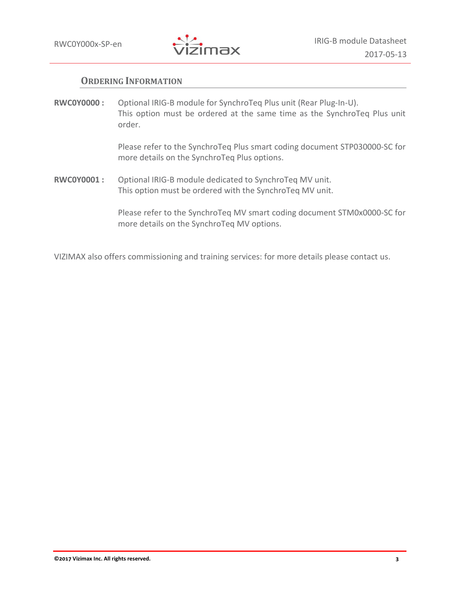

## **ORDERING INFORMATION**

**RWC0Y0000 :** Optional IRIG-B module for SynchroTeq Plus unit (Rear Plug-In-U). This option must be ordered at the same time as the SynchroTeq Plus unit order.

> Please refer to the SynchroTeq Plus smart coding document STP030000-SC for more details on the SynchroTeq Plus options.

**RWC0Y0001 :** Optional IRIG-B module dedicated to SynchroTeq MV unit. This option must be ordered with the SynchroTeq MV unit.

> Please refer to the SynchroTeq MV smart coding document STM0x0000-SC for more details on the SynchroTeq MV options.

VIZIMAX also offers commissioning and training services: for more details please contact us.